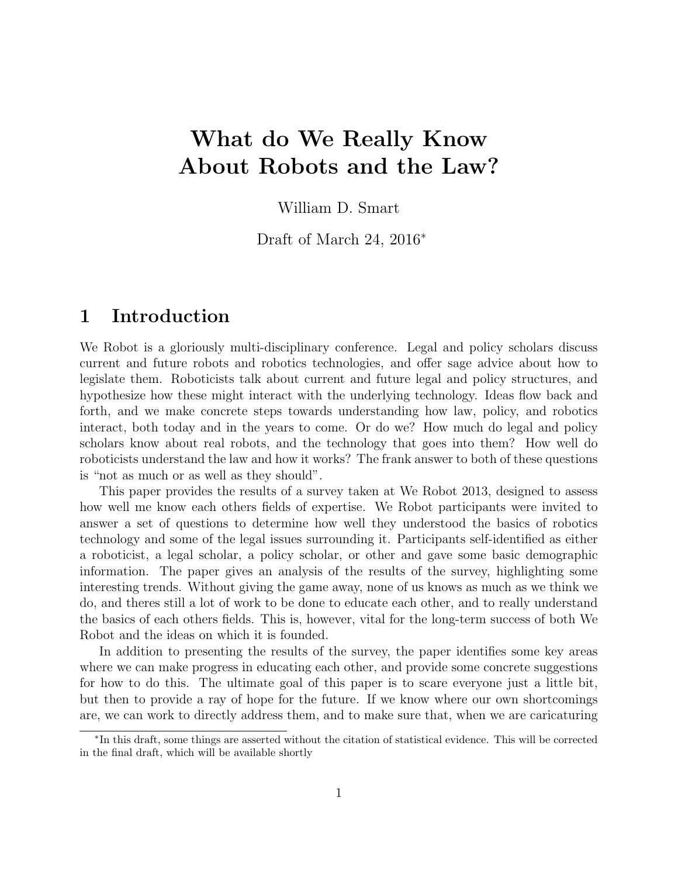# What do We Really Know About Robots and the Law?

William D. Smart

Draft of March 24, 2016<sup>∗</sup>

### 1 Introduction

We Robot is a gloriously multi-disciplinary conference. Legal and policy scholars discuss current and future robots and robotics technologies, and offer sage advice about how to legislate them. Roboticists talk about current and future legal and policy structures, and hypothesize how these might interact with the underlying technology. Ideas flow back and forth, and we make concrete steps towards understanding how law, policy, and robotics interact, both today and in the years to come. Or do we? How much do legal and policy scholars know about real robots, and the technology that goes into them? How well do roboticists understand the law and how it works? The frank answer to both of these questions is "not as much or as well as they should".

This paper provides the results of a survey taken at We Robot 2013, designed to assess how well me know each others fields of expertise. We Robot participants were invited to answer a set of questions to determine how well they understood the basics of robotics technology and some of the legal issues surrounding it. Participants self-identified as either a roboticist, a legal scholar, a policy scholar, or other and gave some basic demographic information. The paper gives an analysis of the results of the survey, highlighting some interesting trends. Without giving the game away, none of us knows as much as we think we do, and theres still a lot of work to be done to educate each other, and to really understand the basics of each others fields. This is, however, vital for the long-term success of both We Robot and the ideas on which it is founded.

In addition to presenting the results of the survey, the paper identifies some key areas where we can make progress in educating each other, and provide some concrete suggestions for how to do this. The ultimate goal of this paper is to scare everyone just a little bit, but then to provide a ray of hope for the future. If we know where our own shortcomings are, we can work to directly address them, and to make sure that, when we are caricaturing

<sup>∗</sup> In this draft, some things are asserted without the citation of statistical evidence. This will be corrected in the final draft, which will be available shortly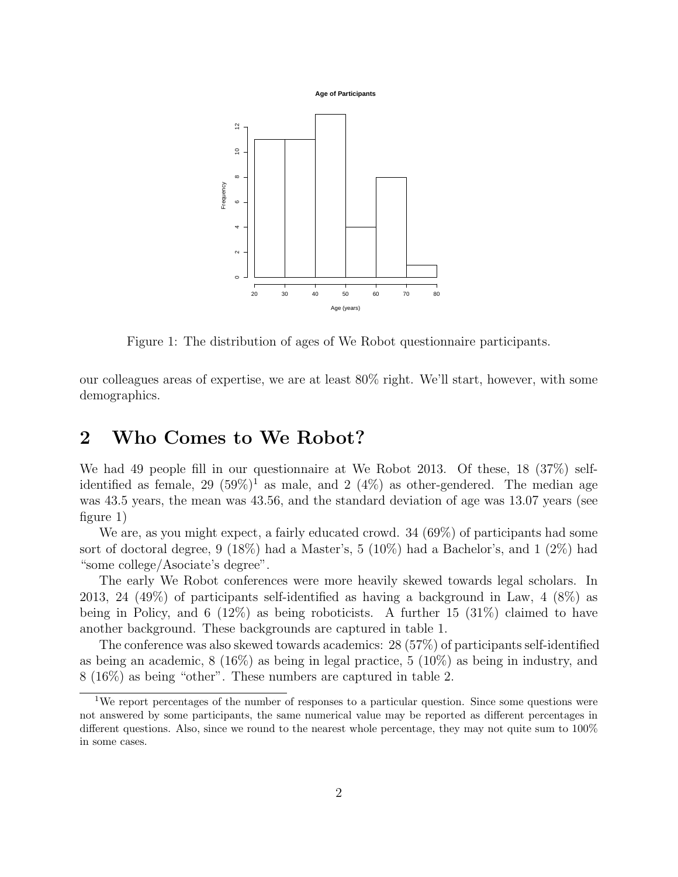

Figure 1: The distribution of ages of We Robot questionnaire participants.

our colleagues areas of expertise, we are at least 80% right. We'll start, however, with some demographics.

### 2 Who Comes to We Robot?

We had 49 people fill in our questionnaire at We Robot 2013. Of these, 18 (37%) selfidentified as female,  $29(59\%)^1$  as male, and  $2(4\%)$  as other-gendered. The median age was 43.5 years, the mean was 43.56, and the standard deviation of age was 13.07 years (see figure 1)

We are, as you might expect, a fairly educated crowd. 34 (69%) of participants had some sort of doctoral degree,  $9(18\%)$  had a Master's,  $5(10\%)$  had a Bachelor's, and  $1(2\%)$  had "some college/Asociate's degree".

The early We Robot conferences were more heavily skewed towards legal scholars. In 2013, 24 (49%) of participants self-identified as having a background in Law, 4 (8%) as being in Policy, and 6 (12%) as being roboticists. A further 15 (31%) claimed to have another background. These backgrounds are captured in table 1.

The conference was also skewed towards academics: 28 (57%) of participants self-identified as being an academic, 8 (16%) as being in legal practice, 5 (10%) as being in industry, and 8 (16%) as being "other". These numbers are captured in table 2.

<sup>&</sup>lt;sup>1</sup>We report percentages of the number of responses to a particular question. Since some questions were not answered by some participants, the same numerical value may be reported as different percentages in different questions. Also, since we round to the nearest whole percentage, they may not quite sum to 100% in some cases.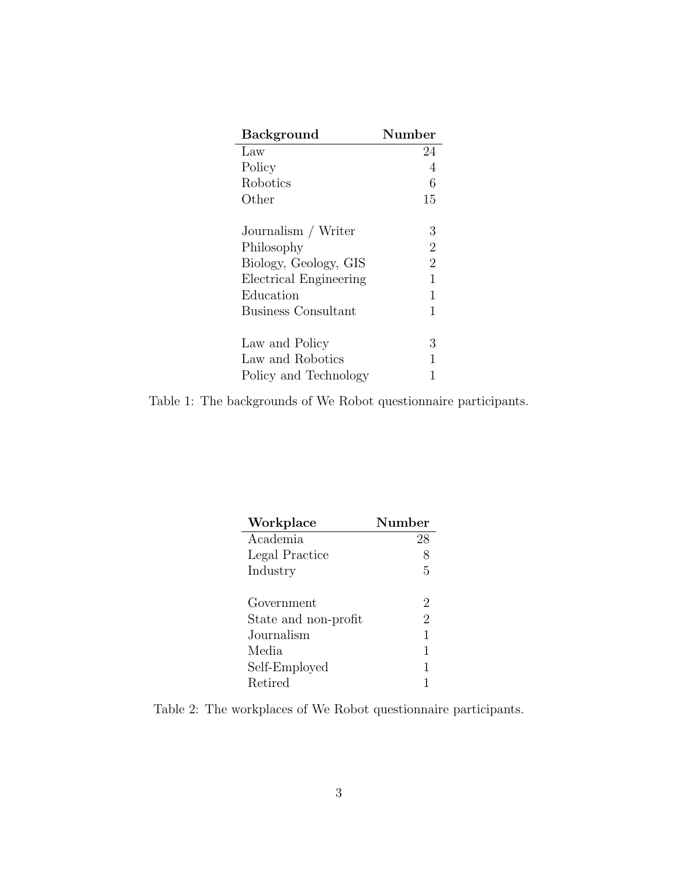| <b>Background</b>          | Number         |
|----------------------------|----------------|
| Law                        | 24             |
| Policy                     | 4              |
| Robotics                   | 6              |
| Other                      | 15             |
|                            |                |
| Journalism / Writer        | 3              |
| Philosophy                 | $\overline{2}$ |
| Biology, Geology, GIS      | $\overline{2}$ |
| Electrical Engineering     | 1              |
| Education                  | 1              |
| <b>Business Consultant</b> | 1              |
|                            |                |
| Law and Policy             | 3              |
| Law and Robotics           | 1              |
| Policy and Technology      | 1              |

Table 1: The backgrounds of We Robot questionnaire participants.

| Workplace            | Number         |
|----------------------|----------------|
| Academia             | 28             |
| Legal Practice       | 8              |
| Industry             | 5              |
|                      |                |
| Government           | 2              |
| State and non-profit | $\overline{2}$ |
| Journalism           | 1              |
| Media                | 1              |
| Self-Employed        | 1              |
| Retired              |                |

Table 2: The workplaces of We Robot questionnaire participants.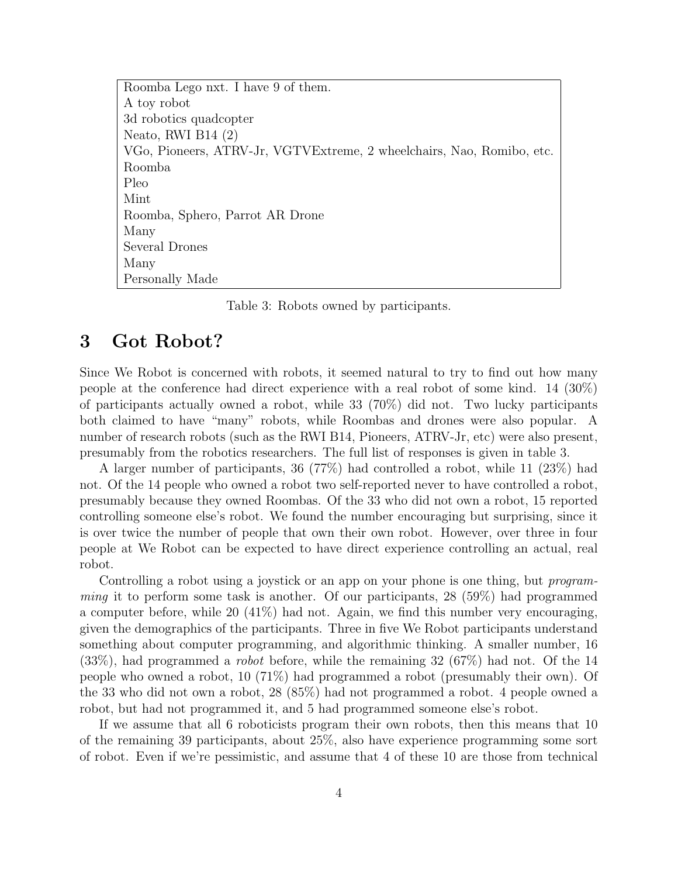Roomba Lego nxt. I have 9 of them. A toy robot 3d robotics quadcopter Neato, RWI B14 (2) VGo, Pioneers, ATRV-Jr, VGTVExtreme, 2 wheelchairs, Nao, Romibo, etc. Roomba Pleo Mint Roomba, Sphero, Parrot AR Drone Many Several Drones Many Personally Made

Table 3: Robots owned by participants.

### 3 Got Robot?

Since We Robot is concerned with robots, it seemed natural to try to find out how many people at the conference had direct experience with a real robot of some kind. 14 (30%) of participants actually owned a robot, while 33 (70%) did not. Two lucky participants both claimed to have "many" robots, while Roombas and drones were also popular. A number of research robots (such as the RWI B14, Pioneers, ATRV-Jr, etc) were also present, presumably from the robotics researchers. The full list of responses is given in table 3.

A larger number of participants, 36 (77%) had controlled a robot, while 11 (23%) had not. Of the 14 people who owned a robot two self-reported never to have controlled a robot, presumably because they owned Roombas. Of the 33 who did not own a robot, 15 reported controlling someone else's robot. We found the number encouraging but surprising, since it is over twice the number of people that own their own robot. However, over three in four people at We Robot can be expected to have direct experience controlling an actual, real robot.

Controlling a robot using a joystick or an app on your phone is one thing, but *program*ming it to perform some task is another. Of our participants, 28 (59%) had programmed a computer before, while 20 (41%) had not. Again, we find this number very encouraging, given the demographics of the participants. Three in five We Robot participants understand something about computer programming, and algorithmic thinking. A smaller number, 16 (33%), had programmed a robot before, while the remaining 32 (67%) had not. Of the 14 people who owned a robot, 10 (71%) had programmed a robot (presumably their own). Of the 33 who did not own a robot, 28 (85%) had not programmed a robot. 4 people owned a robot, but had not programmed it, and 5 had programmed someone else's robot.

If we assume that all 6 roboticists program their own robots, then this means that 10 of the remaining 39 participants, about 25%, also have experience programming some sort of robot. Even if we're pessimistic, and assume that 4 of these 10 are those from technical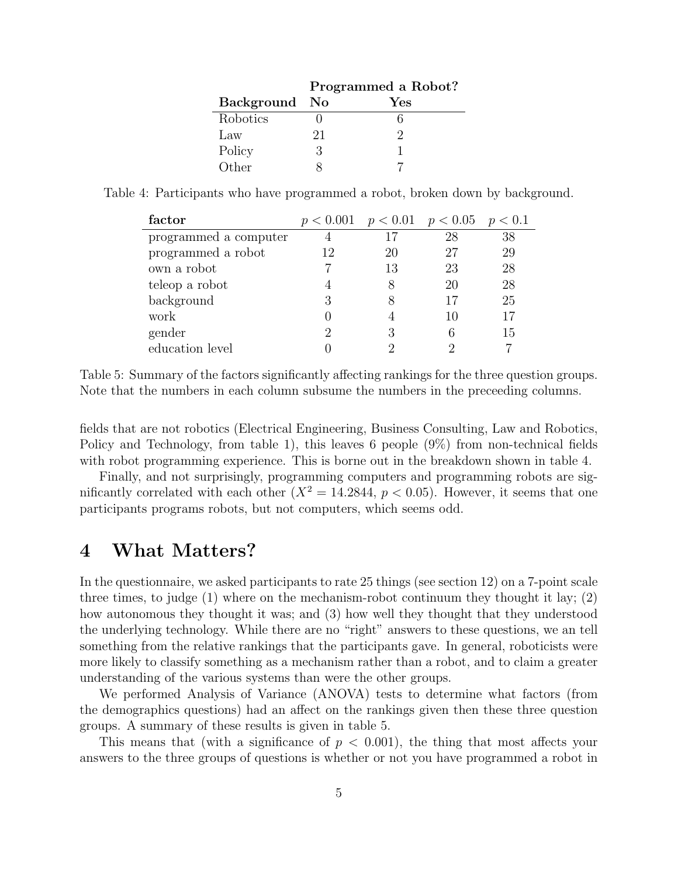|               | Programmed a Robot? |     |  |
|---------------|---------------------|-----|--|
| Background No |                     | Yes |  |
| Robotics      |                     |     |  |
| Law           | 21                  |     |  |
| Policy        | З                   |     |  |
| Other         |                     |     |  |

Table 4: Participants who have programmed a robot, broken down by background.

| factor                | $p < 0.001$ $p < 0.01$ $p < 0.05$ $p < 0.1$ |    |    |    |
|-----------------------|---------------------------------------------|----|----|----|
| programmed a computer |                                             |    | 28 | 38 |
| programmed a robot    | 12                                          | 20 | 27 | 29 |
| own a robot           |                                             | 13 | 23 | 28 |
| teleop a robot        |                                             |    | 20 | 28 |
| background            | 3                                           |    |    | 25 |
| work                  |                                             |    |    | 17 |
| gender                |                                             |    |    | 15 |
| education level       |                                             | റ  |    | ⇁  |

Table 5: Summary of the factors significantly affecting rankings for the three question groups. Note that the numbers in each column subsume the numbers in the preceeding columns.

fields that are not robotics (Electrical Engineering, Business Consulting, Law and Robotics, Policy and Technology, from table 1), this leaves 6 people (9%) from non-technical fields with robot programming experience. This is borne out in the breakdown shown in table 4.

Finally, and not surprisingly, programming computers and programming robots are significantly correlated with each other  $(X^2 = 14.2844, p < 0.05)$ . However, it seems that one participants programs robots, but not computers, which seems odd.

### 4 What Matters?

In the questionnaire, we asked participants to rate 25 things (see section 12) on a 7-point scale three times, to judge  $(1)$  where on the mechanism-robot continuum they thought it lay;  $(2)$ how autonomous they thought it was; and (3) how well they thought that they understood the underlying technology. While there are no "right" answers to these questions, we an tell something from the relative rankings that the participants gave. In general, roboticists were more likely to classify something as a mechanism rather than a robot, and to claim a greater understanding of the various systems than were the other groups.

We performed Analysis of Variance (ANOVA) tests to determine what factors (from the demographics questions) had an affect on the rankings given then these three question groups. A summary of these results is given in table 5.

This means that (with a significance of  $p < 0.001$ ), the thing that most affects your answers to the three groups of questions is whether or not you have programmed a robot in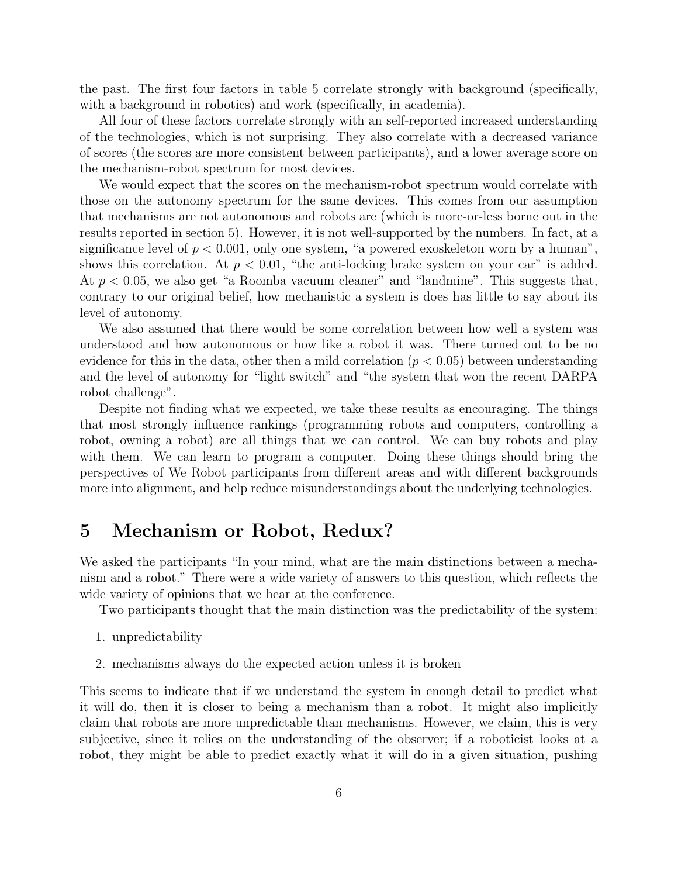the past. The first four factors in table 5 correlate strongly with background (specifically, with a background in robotics) and work (specifically, in academia).

All four of these factors correlate strongly with an self-reported increased understanding of the technologies, which is not surprising. They also correlate with a decreased variance of scores (the scores are more consistent between participants), and a lower average score on the mechanism-robot spectrum for most devices.

We would expect that the scores on the mechanism-robot spectrum would correlate with those on the autonomy spectrum for the same devices. This comes from our assumption that mechanisms are not autonomous and robots are (which is more-or-less borne out in the results reported in section 5). However, it is not well-supported by the numbers. In fact, at a significance level of  $p < 0.001$ , only one system, "a powered exoskeleton worn by a human". shows this correlation. At  $p < 0.01$ , "the anti-locking brake system on your car" is added. At  $p < 0.05$ , we also get "a Roomba vacuum cleaner" and "landmine". This suggests that, contrary to our original belief, how mechanistic a system is does has little to say about its level of autonomy.

We also assumed that there would be some correlation between how well a system was understood and how autonomous or how like a robot it was. There turned out to be no evidence for this in the data, other then a mild correlation  $(p < 0.05)$  between understanding and the level of autonomy for "light switch" and "the system that won the recent DARPA robot challenge".

Despite not finding what we expected, we take these results as encouraging. The things that most strongly influence rankings (programming robots and computers, controlling a robot, owning a robot) are all things that we can control. We can buy robots and play with them. We can learn to program a computer. Doing these things should bring the perspectives of We Robot participants from different areas and with different backgrounds more into alignment, and help reduce misunderstandings about the underlying technologies.

### 5 Mechanism or Robot, Redux?

We asked the participants "In your mind, what are the main distinctions between a mechanism and a robot." There were a wide variety of answers to this question, which reflects the wide variety of opinions that we hear at the conference.

Two participants thought that the main distinction was the predictability of the system:

- 1. unpredictability
- 2. mechanisms always do the expected action unless it is broken

This seems to indicate that if we understand the system in enough detail to predict what it will do, then it is closer to being a mechanism than a robot. It might also implicitly claim that robots are more unpredictable than mechanisms. However, we claim, this is very subjective, since it relies on the understanding of the observer; if a roboticist looks at a robot, they might be able to predict exactly what it will do in a given situation, pushing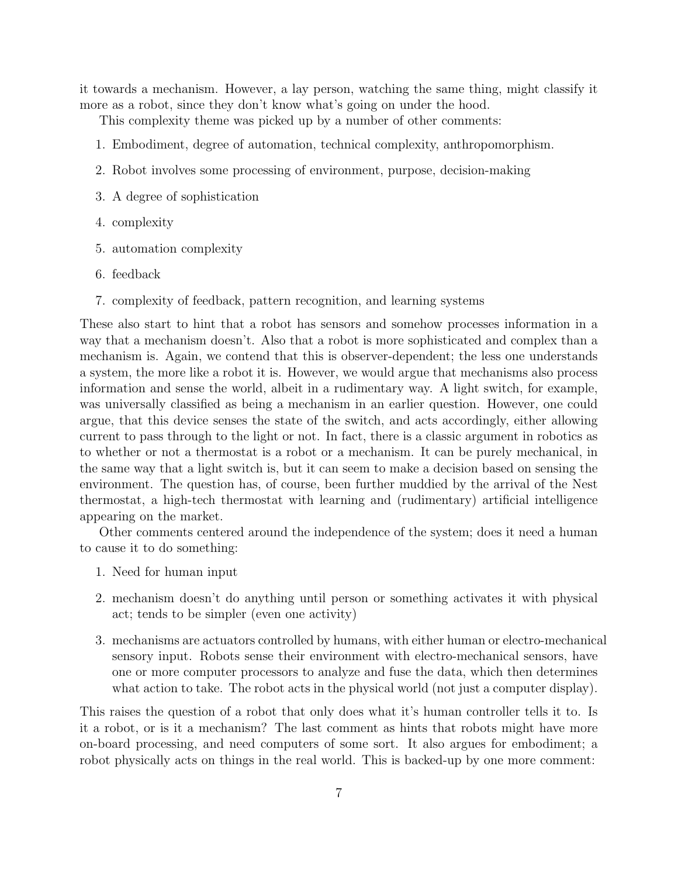it towards a mechanism. However, a lay person, watching the same thing, might classify it more as a robot, since they don't know what's going on under the hood.

This complexity theme was picked up by a number of other comments:

- 1. Embodiment, degree of automation, technical complexity, anthropomorphism.
- 2. Robot involves some processing of environment, purpose, decision-making
- 3. A degree of sophistication
- 4. complexity
- 5. automation complexity
- 6. feedback
- 7. complexity of feedback, pattern recognition, and learning systems

These also start to hint that a robot has sensors and somehow processes information in a way that a mechanism doesn't. Also that a robot is more sophisticated and complex than a mechanism is. Again, we contend that this is observer-dependent; the less one understands a system, the more like a robot it is. However, we would argue that mechanisms also process information and sense the world, albeit in a rudimentary way. A light switch, for example, was universally classified as being a mechanism in an earlier question. However, one could argue, that this device senses the state of the switch, and acts accordingly, either allowing current to pass through to the light or not. In fact, there is a classic argument in robotics as to whether or not a thermostat is a robot or a mechanism. It can be purely mechanical, in the same way that a light switch is, but it can seem to make a decision based on sensing the environment. The question has, of course, been further muddied by the arrival of the Nest thermostat, a high-tech thermostat with learning and (rudimentary) artificial intelligence appearing on the market.

Other comments centered around the independence of the system; does it need a human to cause it to do something:

- 1. Need for human input
- 2. mechanism doesn't do anything until person or something activates it with physical act; tends to be simpler (even one activity)
- 3. mechanisms are actuators controlled by humans, with either human or electro-mechanical sensory input. Robots sense their environment with electro-mechanical sensors, have one or more computer processors to analyze and fuse the data, which then determines what action to take. The robot acts in the physical world (not just a computer display).

This raises the question of a robot that only does what it's human controller tells it to. Is it a robot, or is it a mechanism? The last comment as hints that robots might have more on-board processing, and need computers of some sort. It also argues for embodiment; a robot physically acts on things in the real world. This is backed-up by one more comment: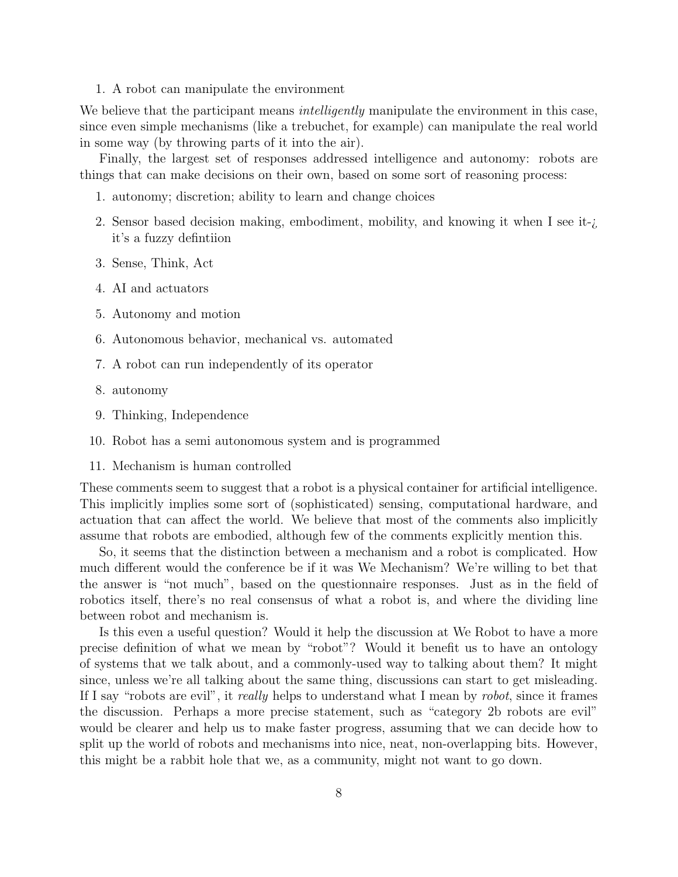1. A robot can manipulate the environment

We believe that the participant means *intelligently* manipulate the environment in this case, since even simple mechanisms (like a trebuchet, for example) can manipulate the real world in some way (by throwing parts of it into the air).

Finally, the largest set of responses addressed intelligence and autonomy: robots are things that can make decisions on their own, based on some sort of reasoning process:

- 1. autonomy; discretion; ability to learn and change choices
- 2. Sensor based decision making, embodiment, mobility, and knowing it when I see it-¿ it's a fuzzy defintiion
- 3. Sense, Think, Act
- 4. AI and actuators
- 5. Autonomy and motion
- 6. Autonomous behavior, mechanical vs. automated
- 7. A robot can run independently of its operator
- 8. autonomy
- 9. Thinking, Independence
- 10. Robot has a semi autonomous system and is programmed
- 11. Mechanism is human controlled

These comments seem to suggest that a robot is a physical container for artificial intelligence. This implicitly implies some sort of (sophisticated) sensing, computational hardware, and actuation that can affect the world. We believe that most of the comments also implicitly assume that robots are embodied, although few of the comments explicitly mention this.

So, it seems that the distinction between a mechanism and a robot is complicated. How much different would the conference be if it was We Mechanism? We're willing to bet that the answer is "not much", based on the questionnaire responses. Just as in the field of robotics itself, there's no real consensus of what a robot is, and where the dividing line between robot and mechanism is.

Is this even a useful question? Would it help the discussion at We Robot to have a more precise definition of what we mean by "robot"? Would it benefit us to have an ontology of systems that we talk about, and a commonly-used way to talking about them? It might since, unless we're all talking about the same thing, discussions can start to get misleading. If I say "robots are evil", it *really* helps to understand what I mean by *robot*, since it frames the discussion. Perhaps a more precise statement, such as "category 2b robots are evil" would be clearer and help us to make faster progress, assuming that we can decide how to split up the world of robots and mechanisms into nice, neat, non-overlapping bits. However, this might be a rabbit hole that we, as a community, might not want to go down.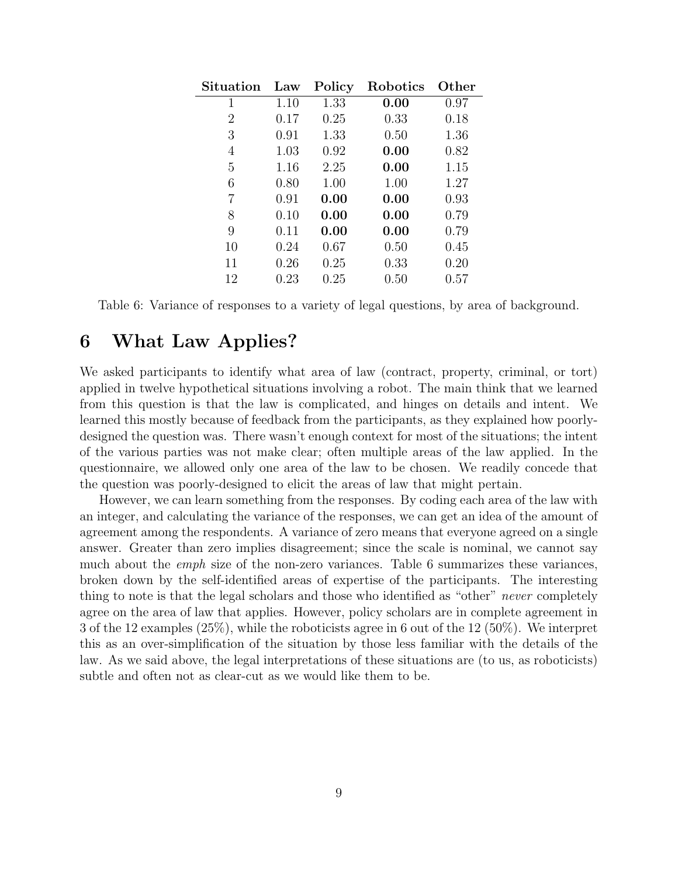| Law  | Policy | Robotics | Other |
|------|--------|----------|-------|
| 1.10 | 1.33   | 0.00     | 0.97  |
| 0.17 | 0.25   | 0.33     | 0.18  |
| 0.91 | 1.33   | 0.50     | 1.36  |
| 1.03 | 0.92   | 0.00     | 0.82  |
| 1.16 | 2.25   | 0.00     | 1.15  |
| 0.80 | 1.00   | 1.00     | 1.27  |
| 0.91 | 0.00   | 0.00     | 0.93  |
| 0.10 | 0.00   | 0.00     | 0.79  |
| 0.11 | 0.00   | 0.00     | 0.79  |
| 0.24 | 0.67   | 0.50     | 0.45  |
| 0.26 | 0.25   | 0.33     | 0.20  |
| 0.23 | 0.25   | 0.50     | 0.57  |
|      |        |          |       |

Table 6: Variance of responses to a variety of legal questions, by area of background.

### 6 What Law Applies?

We asked participants to identify what area of law (contract, property, criminal, or tort) applied in twelve hypothetical situations involving a robot. The main think that we learned from this question is that the law is complicated, and hinges on details and intent. We learned this mostly because of feedback from the participants, as they explained how poorlydesigned the question was. There wasn't enough context for most of the situations; the intent of the various parties was not make clear; often multiple areas of the law applied. In the questionnaire, we allowed only one area of the law to be chosen. We readily concede that the question was poorly-designed to elicit the areas of law that might pertain.

However, we can learn something from the responses. By coding each area of the law with an integer, and calculating the variance of the responses, we can get an idea of the amount of agreement among the respondents. A variance of zero means that everyone agreed on a single answer. Greater than zero implies disagreement; since the scale is nominal, we cannot say much about the *emph* size of the non-zero variances. Table 6 summarizes these variances, broken down by the self-identified areas of expertise of the participants. The interesting thing to note is that the legal scholars and those who identified as "other" never completely agree on the area of law that applies. However, policy scholars are in complete agreement in 3 of the 12 examples (25%), while the roboticists agree in 6 out of the 12 (50%). We interpret this as an over-simplification of the situation by those less familiar with the details of the law. As we said above, the legal interpretations of these situations are (to us, as roboticists) subtle and often not as clear-cut as we would like them to be.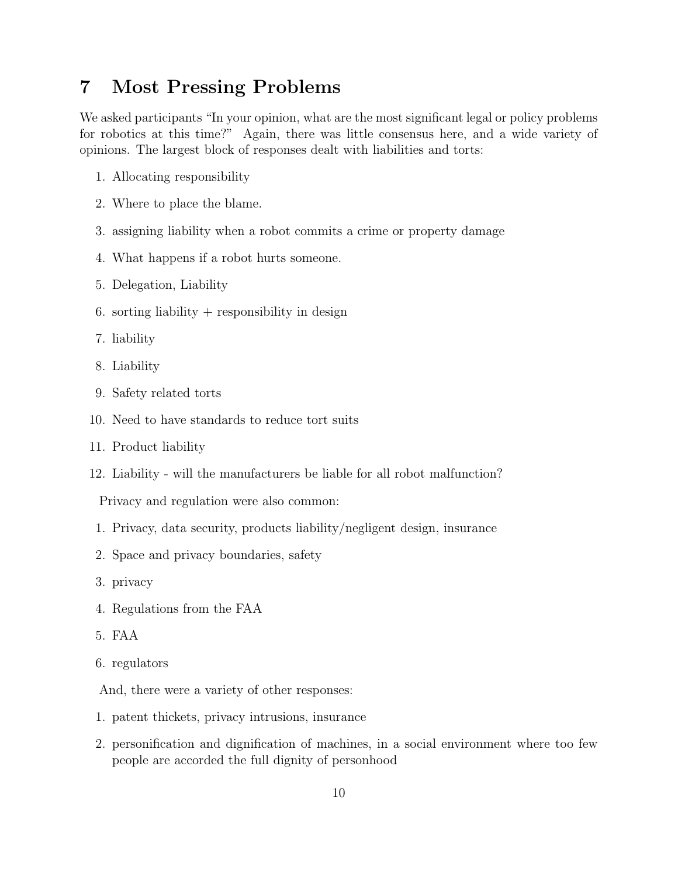# 7 Most Pressing Problems

We asked participants "In your opinion, what are the most significant legal or policy problems for robotics at this time?" Again, there was little consensus here, and a wide variety of opinions. The largest block of responses dealt with liabilities and torts:

- 1. Allocating responsibility
- 2. Where to place the blame.
- 3. assigning liability when a robot commits a crime or property damage
- 4. What happens if a robot hurts someone.
- 5. Delegation, Liability
- 6. sorting liability  $+$  responsibility in design
- 7. liability
- 8. Liability
- 9. Safety related torts
- 10. Need to have standards to reduce tort suits
- 11. Product liability
- 12. Liability will the manufacturers be liable for all robot malfunction?

Privacy and regulation were also common:

- 1. Privacy, data security, products liability/negligent design, insurance
- 2. Space and privacy boundaries, safety
- 3. privacy
- 4. Regulations from the FAA
- 5. FAA
- 6. regulators

And, there were a variety of other responses:

- 1. patent thickets, privacy intrusions, insurance
- 2. personification and dignification of machines, in a social environment where too few people are accorded the full dignity of personhood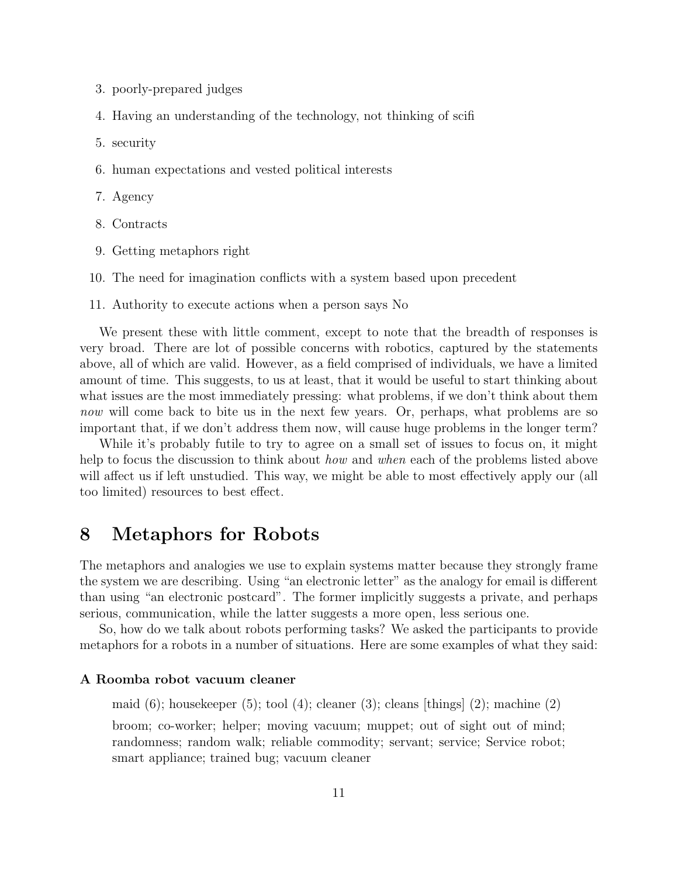3. poorly-prepared judges

4. Having an understanding of the technology, not thinking of scifi

5. security

6. human expectations and vested political interests

7. Agency

8. Contracts

9. Getting metaphors right

10. The need for imagination conflicts with a system based upon precedent

11. Authority to execute actions when a person says No

We present these with little comment, except to note that the breadth of responses is very broad. There are lot of possible concerns with robotics, captured by the statements above, all of which are valid. However, as a field comprised of individuals, we have a limited amount of time. This suggests, to us at least, that it would be useful to start thinking about what issues are the most immediately pressing: what problems, if we don't think about them now will come back to bite us in the next few years. Or, perhaps, what problems are so important that, if we don't address them now, will cause huge problems in the longer term?

While it's probably futile to try to agree on a small set of issues to focus on, it might help to focus the discussion to think about *how* and *when* each of the problems listed above will affect us if left unstudied. This way, we might be able to most effectively apply our (all too limited) resources to best effect.

### 8 Metaphors for Robots

The metaphors and analogies we use to explain systems matter because they strongly frame the system we are describing. Using "an electronic letter" as the analogy for email is different than using "an electronic postcard". The former implicitly suggests a private, and perhaps serious, communication, while the latter suggests a more open, less serious one.

So, how do we talk about robots performing tasks? We asked the participants to provide metaphors for a robots in a number of situations. Here are some examples of what they said:

### A Roomba robot vacuum cleaner

maid  $(6)$ ; housekeeper  $(5)$ ; tool  $(4)$ ; cleaner  $(3)$ ; cleans  $\vert$ things $\vert$   $(2)$ ; machine  $(2)$ 

broom; co-worker; helper; moving vacuum; muppet; out of sight out of mind; randomness; random walk; reliable commodity; servant; service; Service robot; smart appliance; trained bug; vacuum cleaner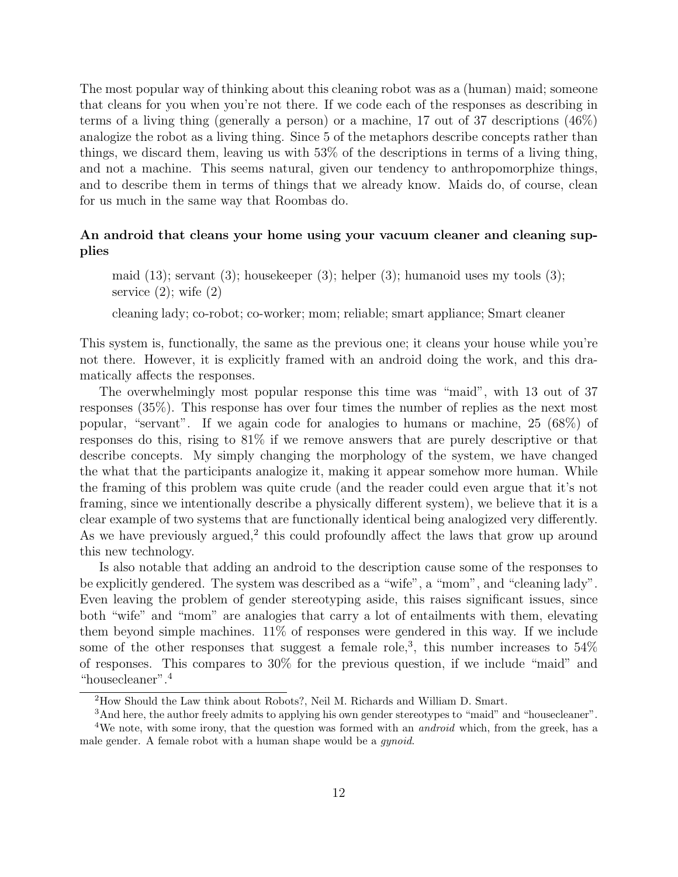The most popular way of thinking about this cleaning robot was as a (human) maid; someone that cleans for you when you're not there. If we code each of the responses as describing in terms of a living thing (generally a person) or a machine, 17 out of 37 descriptions (46%) analogize the robot as a living thing. Since 5 of the metaphors describe concepts rather than things, we discard them, leaving us with 53% of the descriptions in terms of a living thing, and not a machine. This seems natural, given our tendency to anthropomorphize things, and to describe them in terms of things that we already know. Maids do, of course, clean for us much in the same way that Roombas do.

### An android that cleans your home using your vacuum cleaner and cleaning supplies

maid (13); servant (3); housekeeper (3); helper (3); humanoid uses my tools (3); service  $(2)$ ; wife  $(2)$ 

cleaning lady; co-robot; co-worker; mom; reliable; smart appliance; Smart cleaner

This system is, functionally, the same as the previous one; it cleans your house while you're not there. However, it is explicitly framed with an android doing the work, and this dramatically affects the responses.

The overwhelmingly most popular response this time was "maid", with 13 out of 37 responses (35%). This response has over four times the number of replies as the next most popular, "servant". If we again code for analogies to humans or machine, 25 (68%) of responses do this, rising to 81% if we remove answers that are purely descriptive or that describe concepts. My simply changing the morphology of the system, we have changed the what that the participants analogize it, making it appear somehow more human. While the framing of this problem was quite crude (and the reader could even argue that it's not framing, since we intentionally describe a physically different system), we believe that it is a clear example of two systems that are functionally identical being analogized very differently. As we have previously argued,<sup>2</sup> this could profoundly affect the laws that grow up around this new technology.

Is also notable that adding an android to the description cause some of the responses to be explicitly gendered. The system was described as a "wife", a "mom", and "cleaning lady". Even leaving the problem of gender stereotyping aside, this raises significant issues, since both "wife" and "mom" are analogies that carry a lot of entailments with them, elevating them beyond simple machines. 11% of responses were gendered in this way. If we include some of the other responses that suggest a female role,<sup>3</sup>, this number increases to  $54\%$ of responses. This compares to 30% for the previous question, if we include "maid" and "housecleaner".<sup>4</sup>

<sup>2</sup>How Should the Law think about Robots?, Neil M. Richards and William D. Smart.

<sup>3</sup>And here, the author freely admits to applying his own gender stereotypes to "maid" and "housecleaner".

<sup>&</sup>lt;sup>4</sup>We note, with some irony, that the question was formed with an *android* which, from the greek, has a male gender. A female robot with a human shape would be a *gynoid*.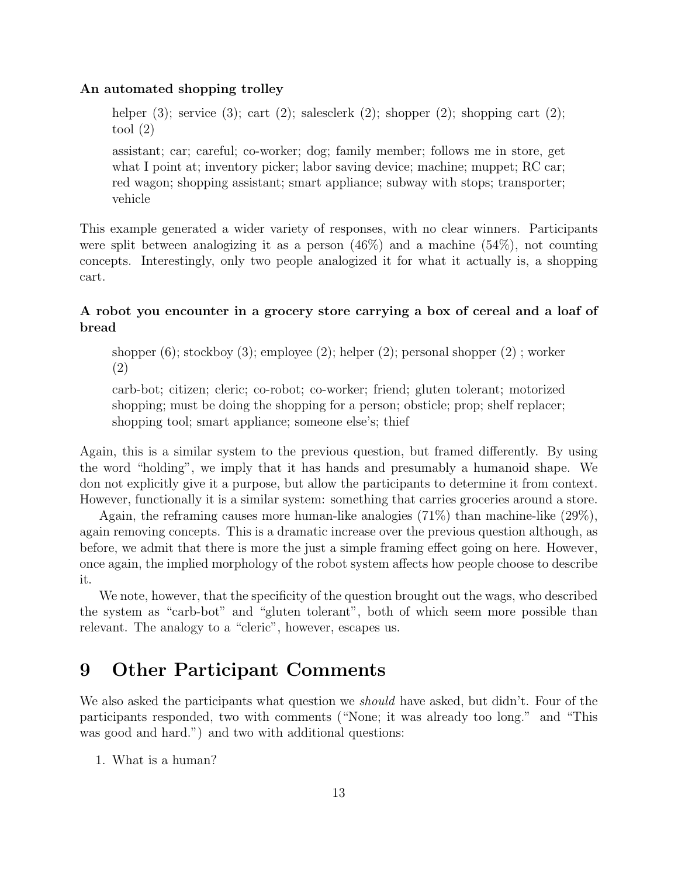### An automated shopping trolley

helper  $(3)$ ; service  $(3)$ ; cart  $(2)$ ; salesclerk  $(2)$ ; shopper  $(2)$ ; shopping cart  $(2)$ ; tool  $(2)$ 

assistant; car; careful; co-worker; dog; family member; follows me in store, get what I point at; inventory picker; labor saving device; machine; muppet; RC car; red wagon; shopping assistant; smart appliance; subway with stops; transporter; vehicle

This example generated a wider variety of responses, with no clear winners. Participants were split between analogizing it as a person  $(46\%)$  and a machine  $(54\%)$ , not counting concepts. Interestingly, only two people analogized it for what it actually is, a shopping cart.

### A robot you encounter in a grocery store carrying a box of cereal and a loaf of bread

shopper (6); stockboy (3); employee (2); helper (2); personal shopper (2) ; worker (2)

carb-bot; citizen; cleric; co-robot; co-worker; friend; gluten tolerant; motorized shopping; must be doing the shopping for a person; obsticle; prop; shelf replacer; shopping tool; smart appliance; someone else's; thief

Again, this is a similar system to the previous question, but framed differently. By using the word "holding", we imply that it has hands and presumably a humanoid shape. We don not explicitly give it a purpose, but allow the participants to determine it from context. However, functionally it is a similar system: something that carries groceries around a store.

Again, the reframing causes more human-like analogies (71%) than machine-like (29%), again removing concepts. This is a dramatic increase over the previous question although, as before, we admit that there is more the just a simple framing effect going on here. However, once again, the implied morphology of the robot system affects how people choose to describe it.

We note, however, that the specificity of the question brought out the wags, who described the system as "carb-bot" and "gluten tolerant", both of which seem more possible than relevant. The analogy to a "cleric", however, escapes us.

# 9 Other Participant Comments

We also asked the participants what question we *should* have asked, but didn't. Four of the participants responded, two with comments ("None; it was already too long." and "This was good and hard.") and two with additional questions:

1. What is a human?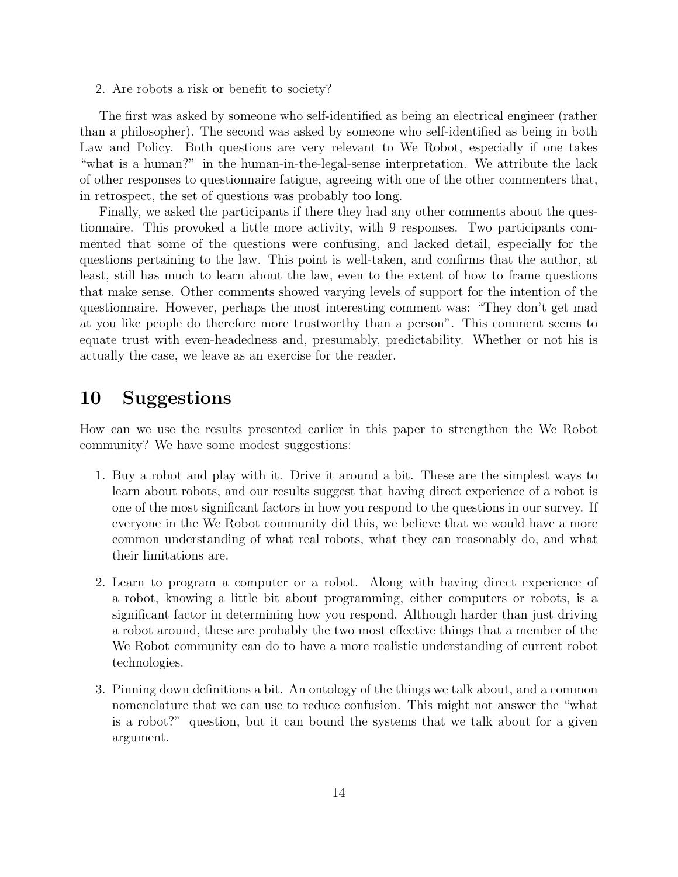2. Are robots a risk or benefit to society?

The first was asked by someone who self-identified as being an electrical engineer (rather than a philosopher). The second was asked by someone who self-identified as being in both Law and Policy. Both questions are very relevant to We Robot, especially if one takes "what is a human?" in the human-in-the-legal-sense interpretation. We attribute the lack of other responses to questionnaire fatigue, agreeing with one of the other commenters that, in retrospect, the set of questions was probably too long.

Finally, we asked the participants if there they had any other comments about the questionnaire. This provoked a little more activity, with 9 responses. Two participants commented that some of the questions were confusing, and lacked detail, especially for the questions pertaining to the law. This point is well-taken, and confirms that the author, at least, still has much to learn about the law, even to the extent of how to frame questions that make sense. Other comments showed varying levels of support for the intention of the questionnaire. However, perhaps the most interesting comment was: "They don't get mad at you like people do therefore more trustworthy than a person". This comment seems to equate trust with even-headedness and, presumably, predictability. Whether or not his is actually the case, we leave as an exercise for the reader.

# 10 Suggestions

How can we use the results presented earlier in this paper to strengthen the We Robot community? We have some modest suggestions:

- 1. Buy a robot and play with it. Drive it around a bit. These are the simplest ways to learn about robots, and our results suggest that having direct experience of a robot is one of the most significant factors in how you respond to the questions in our survey. If everyone in the We Robot community did this, we believe that we would have a more common understanding of what real robots, what they can reasonably do, and what their limitations are.
- 2. Learn to program a computer or a robot. Along with having direct experience of a robot, knowing a little bit about programming, either computers or robots, is a significant factor in determining how you respond. Although harder than just driving a robot around, these are probably the two most effective things that a member of the We Robot community can do to have a more realistic understanding of current robot technologies.
- 3. Pinning down definitions a bit. An ontology of the things we talk about, and a common nomenclature that we can use to reduce confusion. This might not answer the "what is a robot?" question, but it can bound the systems that we talk about for a given argument.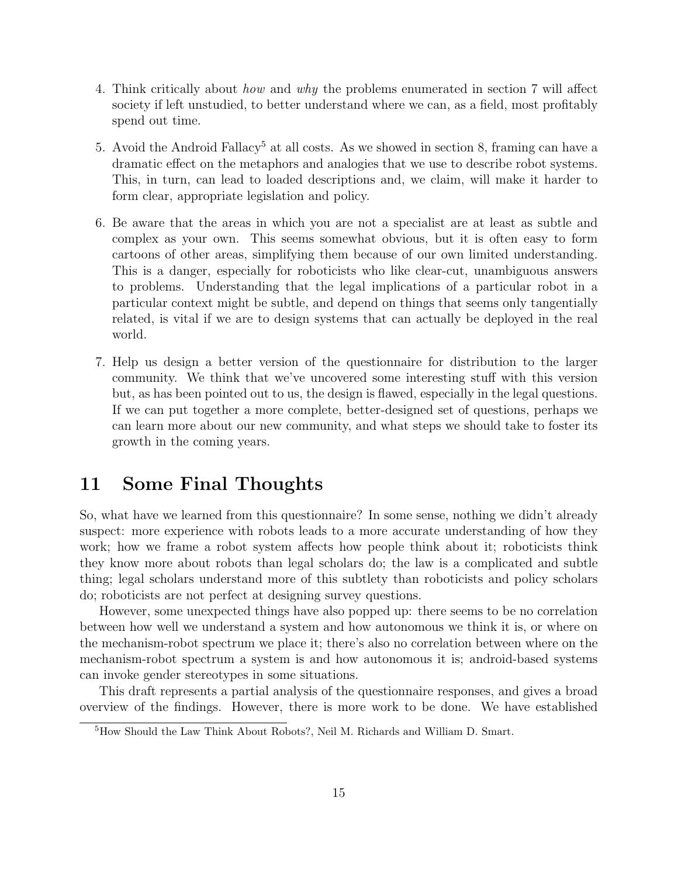- 4. Think critically about how and why the problems enumerated in section 7 will affect society if left unstudied, to better understand where we can, as a field, most profitably spend out time.
- 5. Avoid the Android Fallacy<sup>5</sup> at all costs. As we showed in section 8, framing can have a dramatic effect on the metaphors and analogies that we use to describe robot systems. This, in turn, can lead to loaded descriptions and, we claim, will make it harder to form clear, appropriate legislation and policy.
- 6. Be aware that the areas in which you are not a specialist are at least as subtle and complex as your own. This seems somewhat obvious, but it is often easy to form cartoons of other areas, simplifying them because of our own limited understanding. This is a danger, especially for roboticists who like clear-cut, unambiguous answers to problems. Understanding that the legal implications of a particular robot in a particular context might be subtle, and depend on things that seems only tangentially related, is vital if we are to design systems that can actually be deployed in the real world.
- 7. Help us design a better version of the questionnaire for distribution to the larger community. We think that we've uncovered some interesting stuff with this version but, as has been pointed out to us, the design is flawed, especially in the legal questions. If we can put together a more complete, better-designed set of questions, perhaps we can learn more about our new community, and what steps we should take to foster its growth in the coming years.

### 11 Some Final Thoughts

So, what have we learned from this questionnaire? In some sense, nothing we didn't already suspect: more experience with robots leads to a more accurate understanding of how they work; how we frame a robot system affects how people think about it; roboticists think they know more about robots than legal scholars do; the law is a complicated and subtle thing; legal scholars understand more of this subtlety than roboticists and policy scholars do; roboticists are not perfect at designing survey questions.

However, some unexpected things have also popped up: there seems to be no correlation between how well we understand a system and how autonomous we think it is, or where on the mechanism-robot spectrum we place it; there's also no correlation between where on the mechanism-robot spectrum a system is and how autonomous it is; android-based systems can invoke gender stereotypes in some situations.

This draft represents a partial analysis of the questionnaire responses, and gives a broad overview of the findings. However, there is more work to be done. We have established

<sup>&</sup>lt;sup>5</sup>How Should the Law Think About Robots?, Neil M. Richards and William D. Smart.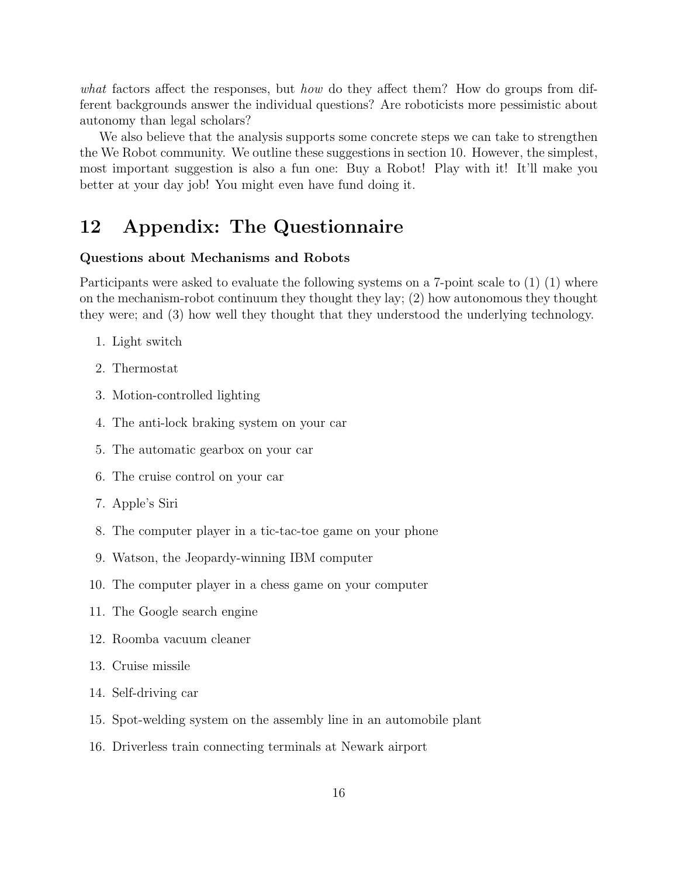what factors affect the responses, but how do they affect them? How do groups from different backgrounds answer the individual questions? Are roboticists more pessimistic about autonomy than legal scholars?

We also believe that the analysis supports some concrete steps we can take to strengthen the We Robot community. We outline these suggestions in section 10. However, the simplest, most important suggestion is also a fun one: Buy a Robot! Play with it! It'll make you better at your day job! You might even have fund doing it.

# 12 Appendix: The Questionnaire

### Questions about Mechanisms and Robots

Participants were asked to evaluate the following systems on a 7-point scale to (1) (1) where on the mechanism-robot continuum they thought they lay; (2) how autonomous they thought they were; and (3) how well they thought that they understood the underlying technology.

- 1. Light switch
- 2. Thermostat
- 3. Motion-controlled lighting
- 4. The anti-lock braking system on your car
- 5. The automatic gearbox on your car
- 6. The cruise control on your car
- 7. Apple's Siri
- 8. The computer player in a tic-tac-toe game on your phone
- 9. Watson, the Jeopardy-winning IBM computer
- 10. The computer player in a chess game on your computer
- 11. The Google search engine
- 12. Roomba vacuum cleaner
- 13. Cruise missile
- 14. Self-driving car
- 15. Spot-welding system on the assembly line in an automobile plant
- 16. Driverless train connecting terminals at Newark airport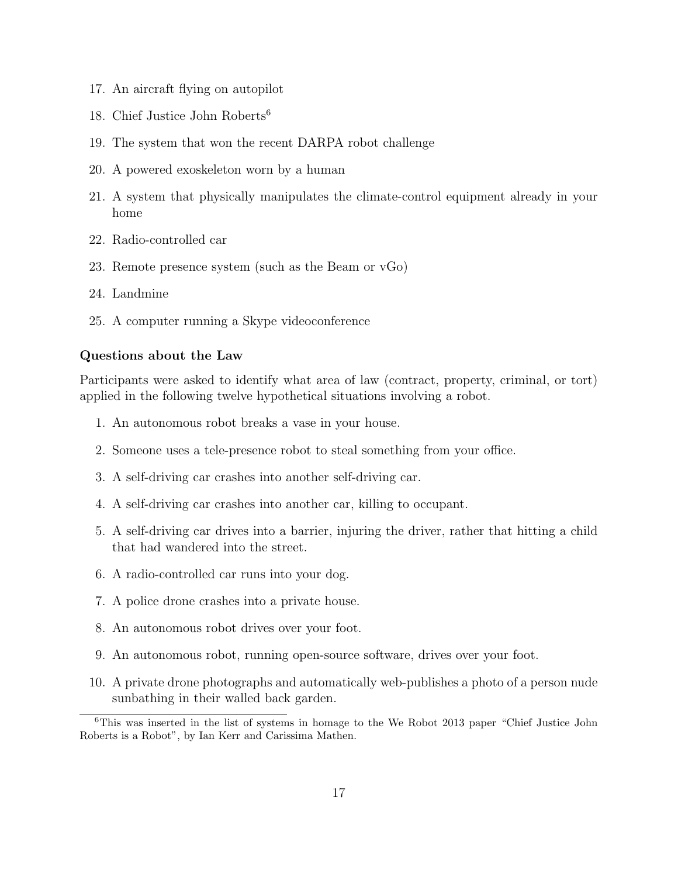- 17. An aircraft flying on autopilot
- 18. Chief Justice John Roberts<sup>6</sup>
- 19. The system that won the recent DARPA robot challenge
- 20. A powered exoskeleton worn by a human
- 21. A system that physically manipulates the climate-control equipment already in your home
- 22. Radio-controlled car
- 23. Remote presence system (such as the Beam or vGo)
- 24. Landmine
- 25. A computer running a Skype videoconference

### Questions about the Law

Participants were asked to identify what area of law (contract, property, criminal, or tort) applied in the following twelve hypothetical situations involving a robot.

- 1. An autonomous robot breaks a vase in your house.
- 2. Someone uses a tele-presence robot to steal something from your office.
- 3. A self-driving car crashes into another self-driving car.
- 4. A self-driving car crashes into another car, killing to occupant.
- 5. A self-driving car drives into a barrier, injuring the driver, rather that hitting a child that had wandered into the street.
- 6. A radio-controlled car runs into your dog.
- 7. A police drone crashes into a private house.
- 8. An autonomous robot drives over your foot.
- 9. An autonomous robot, running open-source software, drives over your foot.
- 10. A private drone photographs and automatically web-publishes a photo of a person nude sunbathing in their walled back garden.

<sup>6</sup>This was inserted in the list of systems in homage to the We Robot 2013 paper "Chief Justice John Roberts is a Robot", by Ian Kerr and Carissima Mathen.